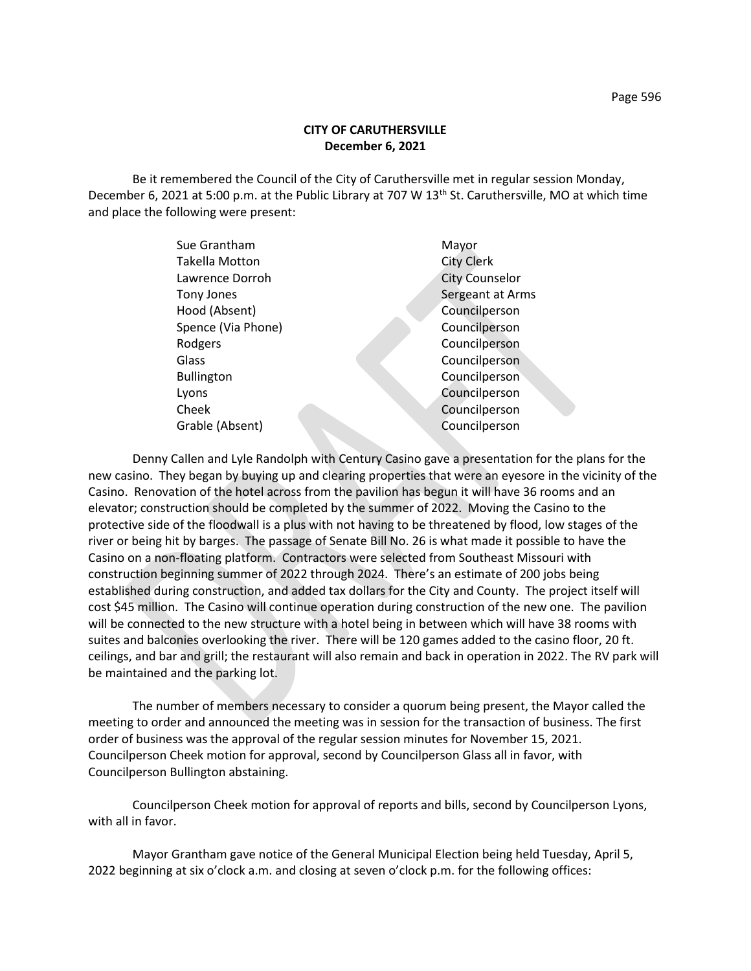Be it remembered the Council of the City of Caruthersville met in regular session Monday, December 6, 2021 at 5:00 p.m. at the Public Library at 707 W 13<sup>th</sup> St. Caruthersville, MO at which time and place the following were present:

| Sue Grantham          | Mayor                 |
|-----------------------|-----------------------|
| <b>Takella Motton</b> | <b>City Clerk</b>     |
| Lawrence Dorroh       | <b>City Counselor</b> |
| Tony Jones            | Sergeant at Arms      |
| Hood (Absent)         | Councilperson         |
| Spence (Via Phone)    | Councilperson         |
| Rodgers               | Councilperson         |
| Glass                 | Councilperson         |
| <b>Bullington</b>     | Councilperson         |
| Lyons                 | Councilperson         |
| Cheek                 | Councilperson         |
| Grable (Absent)       | Councilperson         |
|                       |                       |

Denny Callen and Lyle Randolph with Century Casino gave a presentation for the plans for the new casino. They began by buying up and clearing properties that were an eyesore in the vicinity of the Casino. Renovation of the hotel across from the pavilion has begun it will have 36 rooms and an elevator; construction should be completed by the summer of 2022. Moving the Casino to the protective side of the floodwall is a plus with not having to be threatened by flood, low stages of the river or being hit by barges. The passage of Senate Bill No. 26 is what made it possible to have the Casino on a non-floating platform. Contractors were selected from Southeast Missouri with construction beginning summer of 2022 through 2024. There's an estimate of 200 jobs being established during construction, and added tax dollars for the City and County. The project itself will cost \$45 million. The Casino will continue operation during construction of the new one. The pavilion will be connected to the new structure with a hotel being in between which will have 38 rooms with suites and balconies overlooking the river. There will be 120 games added to the casino floor, 20 ft. ceilings, and bar and grill; the restaurant will also remain and back in operation in 2022. The RV park will be maintained and the parking lot.

The number of members necessary to consider a quorum being present, the Mayor called the meeting to order and announced the meeting was in session for the transaction of business. The first order of business was the approval of the regular session minutes for November 15, 2021. Councilperson Cheek motion for approval, second by Councilperson Glass all in favor, with Councilperson Bullington abstaining.

Councilperson Cheek motion for approval of reports and bills, second by Councilperson Lyons, with all in favor.

Mayor Grantham gave notice of the General Municipal Election being held Tuesday, April 5, 2022 beginning at six o'clock a.m. and closing at seven o'clock p.m. for the following offices: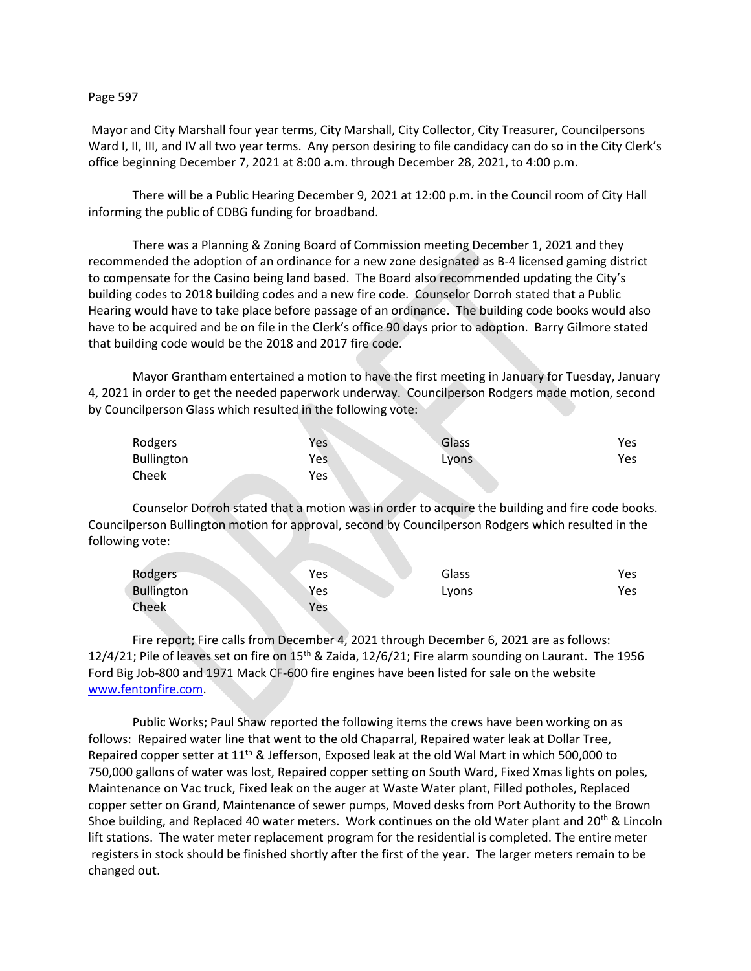## Page 597

Mayor and City Marshall four year terms, City Marshall, City Collector, City Treasurer, Councilpersons Ward I, II, III, and IV all two year terms. Any person desiring to file candidacy can do so in the City Clerk's office beginning December 7, 2021 at 8:00 a.m. through December 28, 2021, to 4:00 p.m.

There will be a Public Hearing December 9, 2021 at 12:00 p.m. in the Council room of City Hall informing the public of CDBG funding for broadband.

There was a Planning & Zoning Board of Commission meeting December 1, 2021 and they recommended the adoption of an ordinance for a new zone designated as B-4 licensed gaming district to compensate for the Casino being land based. The Board also recommended updating the City's building codes to 2018 building codes and a new fire code. Counselor Dorroh stated that a Public Hearing would have to take place before passage of an ordinance. The building code books would also have to be acquired and be on file in the Clerk's office 90 days prior to adoption. Barry Gilmore stated that building code would be the 2018 and 2017 fire code.

Mayor Grantham entertained a motion to have the first meeting in January for Tuesday, January 4, 2021 in order to get the needed paperwork underway. Councilperson Rodgers made motion, second by Councilperson Glass which resulted in the following vote:

| Rodgers    | Yes | Glass | Yes |
|------------|-----|-------|-----|
| Bullington | Yes | LVONS | Yes |
| Cheek      | Yes |       |     |

Counselor Dorroh stated that a motion was in order to acquire the building and fire code books. Councilperson Bullington motion for approval, second by Councilperson Rodgers which resulted in the following vote:

| Rodgers    | Yes | Glass | Yes |
|------------|-----|-------|-----|
| Bullington | Yes | Lyons | Yes |
| Cheek      | Yes |       |     |

Fire report; Fire calls from December 4, 2021 through December 6, 2021 are as follows: 12/4/21; Pile of leaves set on fire on 15<sup>th</sup> & Zaida, 12/6/21; Fire alarm sounding on Laurant. The 1956 Ford Big Job-800 and 1971 Mack CF-600 fire engines have been listed for sale on the website [www.fentonfire.com.](about:blank)

Public Works; Paul Shaw reported the following items the crews have been working on as follows: Repaired water line that went to the old Chaparral, Repaired water leak at Dollar Tree, Repaired copper setter at 11<sup>th</sup> & Jefferson, Exposed leak at the old Wal Mart in which 500,000 to 750,000 gallons of water was lost, Repaired copper setting on South Ward, Fixed Xmas lights on poles, Maintenance on Vac truck, Fixed leak on the auger at Waste Water plant, Filled potholes, Replaced copper setter on Grand, Maintenance of sewer pumps, Moved desks from Port Authority to the Brown Shoe building, and Replaced 40 water meters. Work continues on the old Water plant and 20<sup>th</sup> & Lincoln lift stations. The water meter replacement program for the residential is completed. The entire meter registers in stock should be finished shortly after the first of the year. The larger meters remain to be changed out.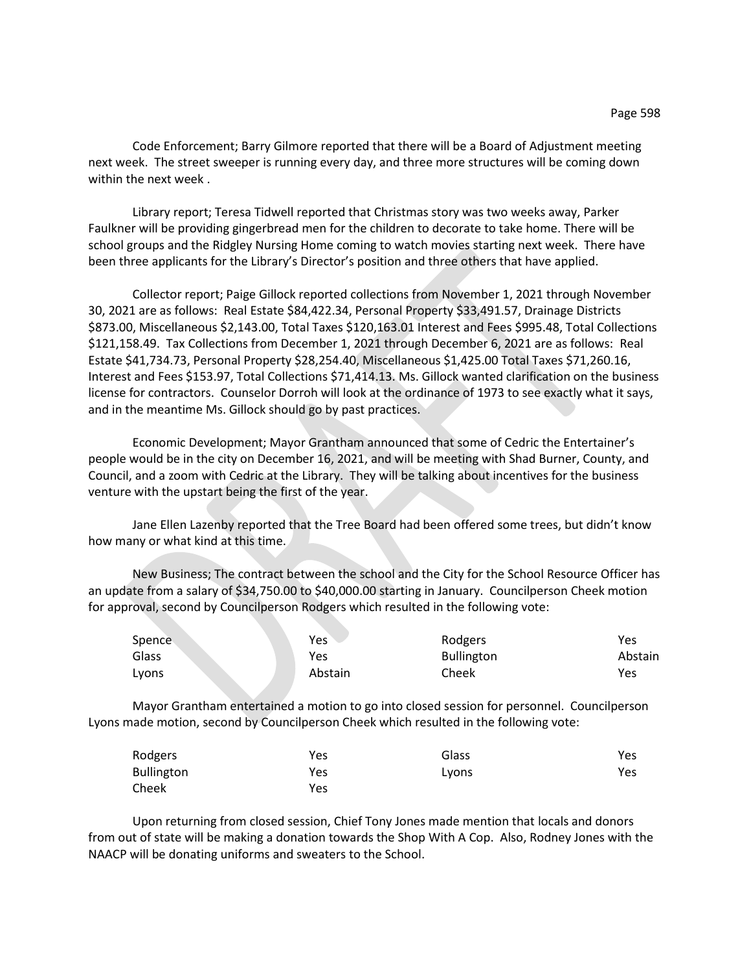Code Enforcement; Barry Gilmore reported that there will be a Board of Adjustment meeting next week. The street sweeper is running every day, and three more structures will be coming down within the next week .

Library report; Teresa Tidwell reported that Christmas story was two weeks away, Parker Faulkner will be providing gingerbread men for the children to decorate to take home. There will be school groups and the Ridgley Nursing Home coming to watch movies starting next week. There have been three applicants for the Library's Director's position and three others that have applied.

Collector report; Paige Gillock reported collections from November 1, 2021 through November 30, 2021 are as follows: Real Estate \$84,422.34, Personal Property \$33,491.57, Drainage Districts \$873.00, Miscellaneous \$2,143.00, Total Taxes \$120,163.01 Interest and Fees \$995.48, Total Collections \$121,158.49. Tax Collections from December 1, 2021 through December 6, 2021 are as follows: Real Estate \$41,734.73, Personal Property \$28,254.40, Miscellaneous \$1,425.00 Total Taxes \$71,260.16, Interest and Fees \$153.97, Total Collections \$71,414.13. Ms. Gillock wanted clarification on the business license for contractors. Counselor Dorroh will look at the ordinance of 1973 to see exactly what it says, and in the meantime Ms. Gillock should go by past practices.

Economic Development; Mayor Grantham announced that some of Cedric the Entertainer's people would be in the city on December 16, 2021, and will be meeting with Shad Burner, County, and Council, and a zoom with Cedric at the Library. They will be talking about incentives for the business venture with the upstart being the first of the year.

Jane Ellen Lazenby reported that the Tree Board had been offered some trees, but didn't know how many or what kind at this time.

New Business; The contract between the school and the City for the School Resource Officer has an update from a salary of \$34,750.00 to \$40,000.00 starting in January. Councilperson Cheek motion for approval, second by Councilperson Rodgers which resulted in the following vote:

| Spence | Yes     | Rodgers           | Yes     |
|--------|---------|-------------------|---------|
| Glass  | Yes     | <b>Bullington</b> | Abstain |
| Lyons  | Abstain | Cheek             | Yes     |

Mayor Grantham entertained a motion to go into closed session for personnel. Councilperson Lyons made motion, second by Councilperson Cheek which resulted in the following vote:

| Rodgers           | Yes | Glass | Yes. |
|-------------------|-----|-------|------|
| <b>Bullington</b> | Yes | Lyons | Yes. |
| Cheek             | Yes |       |      |

Upon returning from closed session, Chief Tony Jones made mention that locals and donors from out of state will be making a donation towards the Shop With A Cop. Also, Rodney Jones with the NAACP will be donating uniforms and sweaters to the School.